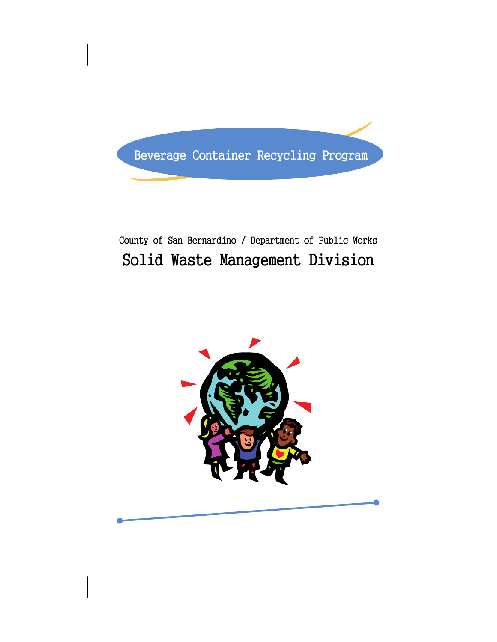

## County of San Bernardino / Department of Public Works Solid Waste Management Division

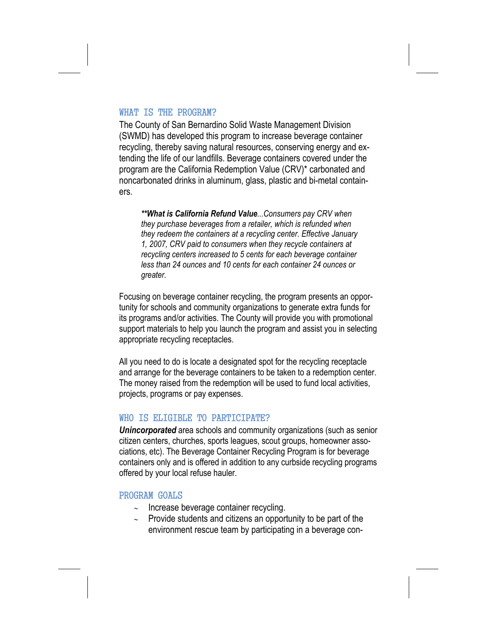#### WHAT IS THE PROGRAM?

The County of San Bernardino Solid Waste Management Division (SWMD) has developed this program to increase beverage container recycling, thereby saving natural resources, conserving energy and extending the life of our landfills. Beverage containers covered under the program are the California Redemption Value (CRV)\* carbonated and noncarbonated drinks in aluminum, glass, plastic and bi-metal containers.

*\*\*What is California Refund Value...Consumers pay CRV when they purchase beverages from a retailer, which is refunded when they redeem the containers at a recycling center. Effective January 1, 2007, CRV paid to consumers when they recycle containers at recycling centers increased to 5 cents for each beverage container less than 24 ounces and 10 cents for each container 24 ounces or greater.* 

Focusing on beverage container recycling, the program presents an opportunity for schools and community organizations to generate extra funds for its programs and/or activities. The County will provide you with promotional support materials to help you launch the program and assist you in selecting appropriate recycling receptacles.

All you need to do is locate a designated spot for the recycling receptacle and arrange for the beverage containers to be taken to a redemption center. The money raised from the redemption will be used to fund local activities, projects, programs or pay expenses.

## WHO IS ELIGIBLE TO PARTICIPATE?

*Unincorporated* area schools and community organizations (such as senior citizen centers, churches, sports leagues, scout groups, homeowner associations, etc). The Beverage Container Recycling Program is for beverage containers only and is offered in addition to any curbside recycling programs offered by your local refuse hauler.

#### PROGRAM GOALS

- ∼ Increase beverage container recycling.
- ∼ Provide students and citizens an opportunity to be part of the environment rescue team by participating in a beverage con-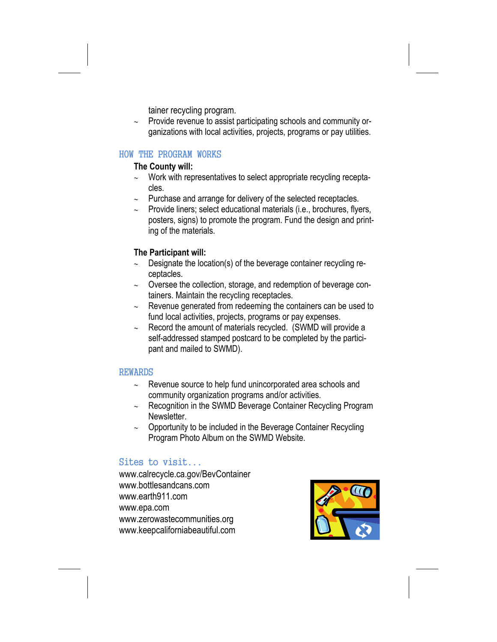tainer recycling program.

∼ Provide revenue to assist participating schools and community organizations with local activities, projects, programs or pay utilities.

#### HOW THE PROGRAM WORKS

#### **The County will:**

- ∼ Work with representatives to select appropriate recycling receptacles.
- Purchase and arrange for delivery of the selected receptacles.
- ∼ Provide liners; select educational materials (i.e., brochures, flyers, posters, signs) to promote the program. Fund the design and printing of the materials.

## **The Participant will:**

- Designate the location(s) of the beverage container recycling receptacles.
- ∼ Oversee the collection, storage, and redemption of beverage containers. Maintain the recycling receptacles.
- ∼ Revenue generated from redeeming the containers can be used to fund local activities, projects, programs or pay expenses.
- ∼ Record the amount of materials recycled. (SWMD will provide a self-addressed stamped postcard to be completed by the participant and mailed to SWMD).

## REWARDS

- ∼ Revenue source to help fund unincorporated area schools and community organization programs and/or activities.
- ∼ Recognition in the SWMD Beverage Container Recycling Program Newsletter.
- ∼ Opportunity to be included in the Beverage Container Recycling Program Photo Album on the SWMD Website.

## Sites to visit...

www.calrecycle.ca.gov/BevContainer www.bottlesandcans.com www.earth911.com www.epa.com www.zerowastecommunities.org www.keepcaliforniabeautiful.com